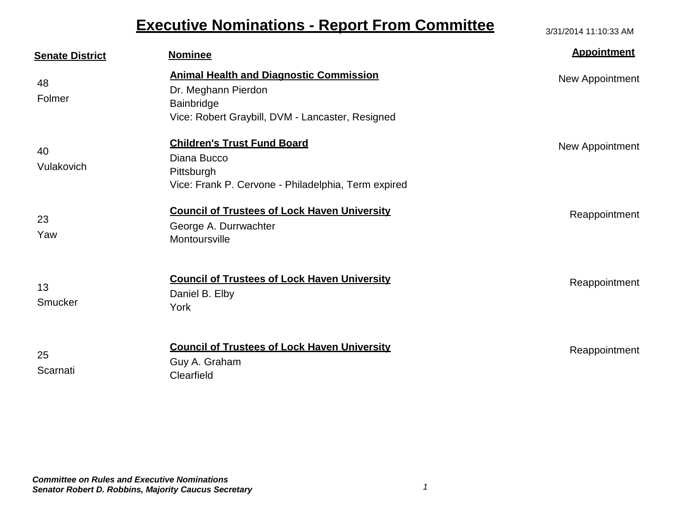## **Executive Nominations - Report From Committee** 3/31/2014 11:10:33 AM

| <b>Senate District</b> | <b>Nominee</b>                                                                                                                          | <b>Appointment</b> |
|------------------------|-----------------------------------------------------------------------------------------------------------------------------------------|--------------------|
| 48<br>Folmer           | <b>Animal Health and Diagnostic Commission</b><br>Dr. Meghann Pierdon<br>Bainbridge<br>Vice: Robert Graybill, DVM - Lancaster, Resigned | New Appointment    |
| 40<br>Vulakovich       | <b>Children's Trust Fund Board</b><br>Diana Bucco<br>Pittsburgh<br>Vice: Frank P. Cervone - Philadelphia, Term expired                  | New Appointment    |
| 23<br>Yaw              | <b>Council of Trustees of Lock Haven University</b><br>George A. Durrwachter<br>Montoursville                                           | Reappointment      |
| 13<br>Smucker          | <b>Council of Trustees of Lock Haven University</b><br>Daniel B. Elby<br>York                                                           | Reappointment      |
| 25<br>Scarnati         | <b>Council of Trustees of Lock Haven University</b><br>Guy A. Graham<br>Clearfield                                                      | Reappointment      |